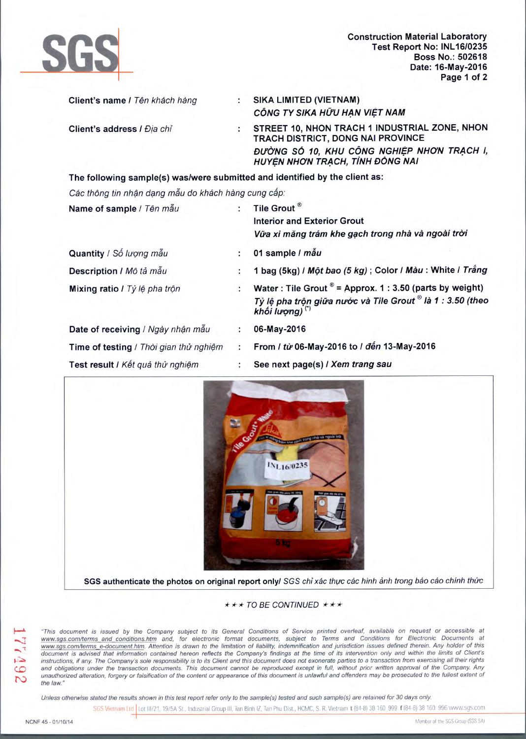

Construction Material Laboratory<br>
Test Report No: INL16/0235<br>
Boss No.: 502618<br>
Date: 16-May-2016<br>
Page 1 of 2 **Test Report No: INL16/0235 Boss No.: 502618 Date: 16-May-2016 Page 1 of 2** 

| Client's name / Tên khách hàng                                              | SIKA LIMITED (VIETNAM)<br>CÔNG TY SIKA HỮU HẠN VIỆT NAM                                                                                                             |
|-----------------------------------------------------------------------------|---------------------------------------------------------------------------------------------------------------------------------------------------------------------|
| Client's address / Địa chỉ                                                  | STREET 10, NHON TRACH 1 INDUSTRIAL ZONE, NHON<br>TRACH DISTRICT, DONG NAI PROVINCE<br>ĐƯỜNG SỐ 10, KHU CÔNG NGHIỆP NHƠN TRẠCH I,<br>HUYÊN NHƠN TRẠCH, TỈNH ĐỒNG NAI |
| The following sample(s) was/were submitted and identified by the client as: |                                                                                                                                                                     |

Các thông tin nhận dạng mẫu do khách hàng cung cấp:

| Name of sample / Tên mẫu               |    | Tile Grout <sup>®</sup><br><b>Interior and Exterior Grout</b><br>Vữa xi măng trám khe gạch trong nhà và ngoài trời                                            |
|----------------------------------------|----|---------------------------------------------------------------------------------------------------------------------------------------------------------------|
| Quantity / Số lượng mẫu                | ÷. | 01 sample / mẫu                                                                                                                                               |
| Description / Mô tả mẫu                | ۰. | 1 bag (5kg) / Một bao (5 kg); Color / Màu: White / Trắng                                                                                                      |
| Mixing ratio / Tỷ lệ pha trộn          |    | Water: Tile Grout $^{\circ}$ = Approx. 1 : 3.50 (parts by weight)<br>Tỷ lệ pha trộn giữa nước và Tile Grout ® là 1 : 3.50 (theo<br>khối lượng) <sup>(*)</sup> |
| Date of receiving / Ngày nhận mẫu      | ٠. | 06-May-2016                                                                                                                                                   |
| Time of testing / Thời gian thử nghiệm | ÷  | From / từ 06-May-2016 to / đến 13-May-2016                                                                                                                    |
| Test result I Kết quả thử nghiệm       |    | See next page(s) / Xem trang sau                                                                                                                              |



**SGS authenticate the photos on original report only/** SGS chi xác thực các hình ảnh trong báo cáo chính thức

 $\star \star \star$  TO BE CONTINUED  $\star \star \star$ 

This document is issued by the Company subject to its General Conditions of Service printed overleaf, available on request or accessible at www.sgs.com/terms and conditions.htm and, for electronic format documents, subject to Terms and Conditions for Electronic Documents at www.sgs.com/terms\_e-document.htm. Attention is drawn to the limitation of liability, indemnification and jurisdiction issues defined therein. Any holder of this document is advised that information contained hereon reflects the Company's findings at the time of its intervention only and within the limits of Client's instructions, if any. The Company's sole responsibility is to its Client and this document does not exonerate parties to a transaction from exercising all their rights and obligations under the transaction documents. This document cannot be reproduced except in full, without prior written approval of the Company. Any unauthorized alteration, forgery or falsification of the content or appearance of this document is unlawful and offenders may be prosecuted to the fullest extent of the law."

Unless otherwise stated the results shown in this test report refer only to the sample(s) tested and such sample(s) are retained for 30 days only.

SGS Vietnam Ltd Lot III/21, 19/5A St., Industrial Group III, Tan Binh IZ, Tan Phu Dist., HCMC, S. R. Vietnam t (84-8) 38 160 999 f (84-8) 38 160 996 www.sgs.com